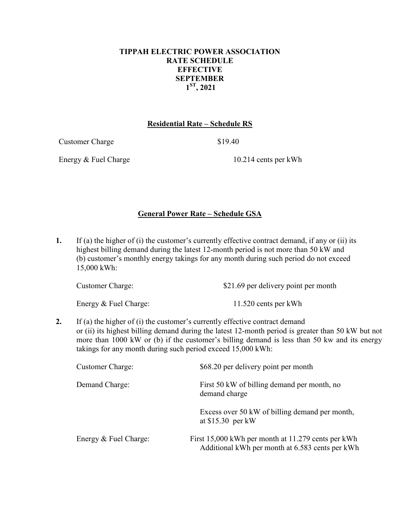## **TIPPAH ELECTRIC POWER ASSOCIATION RATE SCHEDULE EFFECTIVE SEPTEMBER 1ST, 2021**

## **Residential Rate – Schedule RS**

Customer Charge \$19.40

Energy & Fuel Charge 10.214 cents per kWh

## **General Power Rate – Schedule GSA**

**1.** If (a) the higher of (i) the customer's currently effective contract demand, if any or (ii) its highest billing demand during the latest 12-month period is not more than 50 kW and (b) customer's monthly energy takings for any month during such period do not exceed 15,000 kWh:

| <b>Customer Charge:</b> | \$21.69 per delivery point per month |  |  |
|-------------------------|--------------------------------------|--|--|
|                         |                                      |  |  |

Energy & Fuel Charge: 11.520 cents per kWh

**2.** If (a) the higher of (i) the customer's currently effective contract demand or (ii) its highest billing demand during the latest 12-month period is greater than 50 kW but not more than 1000 kW or (b) if the customer's billing demand is less than 50 kw and its energy takings for any month during such period exceed 15,000 kWh:

| <b>Customer Charge:</b> | \$68.20 per delivery point per month                                                                  |
|-------------------------|-------------------------------------------------------------------------------------------------------|
| Demand Charge:          | First 50 kW of billing demand per month, no<br>demand charge                                          |
|                         | Excess over 50 kW of billing demand per month,<br>at $$15.30$ per kW                                  |
| Energy & Fuel Charge:   | First 15,000 kWh per month at 11.279 cents per kWh<br>Additional kWh per month at 6.583 cents per kWh |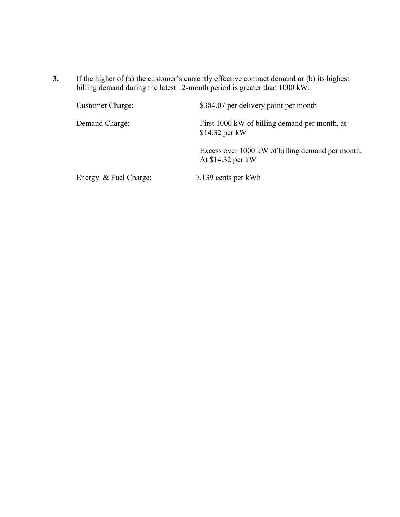**3.** If the higher of (a) the customer's currently effective contract demand or (b) its highest billing demand during the latest 12-month period is greater than 1000 kW:

| Customer Charge:      | \$384.07 per delivery point per month                                 |
|-----------------------|-----------------------------------------------------------------------|
| Demand Charge:        | First 1000 kW of billing demand per month, at<br>$$14.32$ per kW      |
|                       | Excess over 1000 kW of billing demand per month,<br>At \$14.32 per kW |
| Energy & Fuel Charge: | 7.139 cents per kWh                                                   |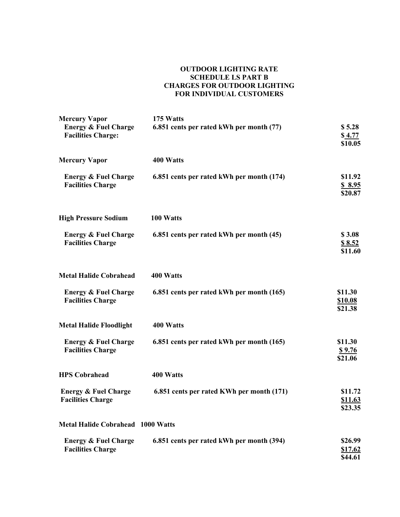#### **OUTDOOR LIGHTING RATE SCHEDULE LS PART B CHARGES FOR OUTDOOR LIGHTING FOR INDIVIDUAL CUSTOMERS**

| <b>Mercury Vapor</b>                                         | 175 Watts                                 |                                      |
|--------------------------------------------------------------|-------------------------------------------|--------------------------------------|
| <b>Energy &amp; Fuel Charge</b><br><b>Facilities Charge:</b> | 6.851 cents per rated kWh per month (77)  | \$5.28<br>\$4.77<br>\$10.05          |
| <b>Mercury Vapor</b>                                         | 400 Watts                                 |                                      |
| <b>Energy &amp; Fuel Charge</b><br><b>Facilities Charge</b>  | 6.851 cents per rated kWh per month (174) | \$11.92<br>\$8.95<br>\$20.87         |
| <b>High Pressure Sodium</b>                                  | 100 Watts                                 |                                      |
| <b>Energy &amp; Fuel Charge</b><br><b>Facilities Charge</b>  | 6.851 cents per rated kWh per month (45)  | \$3.08<br>\$8.52<br>\$11.60          |
| <b>Metal Halide Cobrahead</b>                                | 400 Watts                                 |                                      |
| <b>Energy &amp; Fuel Charge</b><br><b>Facilities Charge</b>  | 6.851 cents per rated kWh per month (165) | \$11.30<br><b>\$10.08</b><br>\$21.38 |
| <b>Metal Halide Floodlight</b>                               | 400 Watts                                 |                                      |
| <b>Energy &amp; Fuel Charge</b><br><b>Facilities Charge</b>  | 6.851 cents per rated kWh per month (165) | \$11.30<br><u>\$9.76</u><br>\$21.06  |
| <b>HPS Cobrahead</b>                                         | 400 Watts                                 |                                      |
| <b>Energy &amp; Fuel Charge</b><br><b>Facilities Charge</b>  | 6.851 cents per rated KWh per month (171) | \$11.72<br><u>\$11.63</u><br>\$23.35 |
| <b>Metal Halide Cobrahead 1000 Watts</b>                     |                                           |                                      |
| <b>Energy &amp; Fuel Charge</b><br><b>Facilities Charge</b>  | 6.851 cents per rated kWh per month (394) | \$26.99<br>\$17.62<br>\$44.61        |